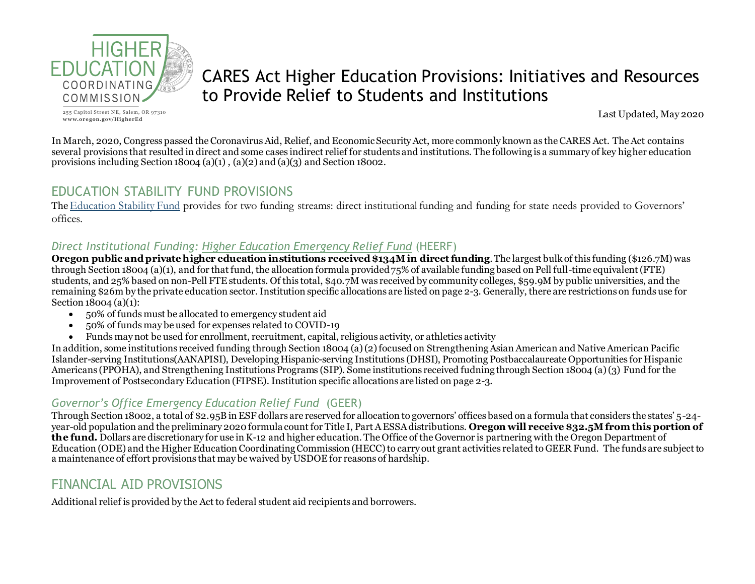

255 Capitol Street NE, Salem, OR 97310  $www.oregon.gov/HigherEd$ 

# CARES Act Higher Education Provisions: Initiatives and Resources to Provide Relief to Students and Institutions

Last Updated, May 2020

In March, 2020, Congress passed the Coronavirus Aid, Relief, and Economic Security Act, more commonly known as the CARES Act. The Act contains several provisions that resulted in direct and some cases indirect relief for students and institutions. The following is a summary of key higher education provisions including Section 18004 (a)(1), (a)(2) and (a)(3) and Section 18002.

## EDUCATION STABILITY FUND PROVISIONS

The [Education Stability Fund](https://oese.ed.gov/offices/Education-Stabilization-Fund/) provides for two funding streams: direct institutional funding and funding for state needs provided to Governors' offices.

#### *Direct Institutional Funding: [Higher Education Emergency Relief Fund](https://www2.ed.gov/about/offices/list/ope/caresact.html)* (HEERF)

**Oregon public and private higher education institutions received \$134Min direct funding**. The largest bulk of this funding (\$126.7M) was through Section 18004 (a)(1), and for that fund, the allocation formula provided 75% of available funding based on Pell full-time equivalent (FTE) students, and 25% based on non-Pell FTE students. Of this total, \$40.7M was received by community colleges, \$59.9M by public universities, and the remaining \$26m by the private education sector. Institution specific allocations are listed on page 2-3. Generally, there are restrictions on funds use for Section 18004 (a)(1):

- 50% of funds must be allocated to emergency student aid
- 50% of funds may be used for expenses related to COVID-19
- Funds may not be used for enrollment, recruitment, capital, religious activity, or athletics activity

In addition, some institutions received funding through Section 18004 (a) (2) focused on Strengthening Asian American and Native American Pacific Islander-serving Institutions(AANAPISI), Developing Hispanic-serving Institutions (DHSI), Promoting Postbaccalaureate Opportunities for Hispanic Americans (PPOHA), and Strengthening Institutions Programs (SIP). Some institutions received fudning through Section 18004 (a) (3) Fund for the Improvement of Postsecondary Education (FIPSE). Institution specific allocations are listed on page 2-3.

### *[Governor's Office Emergency Education Relief Fund](https://oese.ed.gov/offices/education-stabilization-fund/governors-emergency-education-relief-fund/)* (GEER)

Through Section 18002, a total of \$2.95B in ESF dollars are reserved for allocation to governors' offices based on a formula that considers the states' 5-24 year-old population and the preliminary 2020 formula count for Title I, Part A ESSA distributions. **Oregon will receive \$32.5Mfrom this portion of the fund.** Dollars are discretionary for use in K-12 and higher education. The Office of the Governor is partnering with the Oregon Department of Education (ODE) and the Higher Education Coordinating Commission (HECC) to carry out grant activities related to GEER Fund. The funds are subject to a maintenance of effort provisions that may be waived by USDOE for reasons of hardship.

## FINANCIAL AID PROVISIONS

Additional relief is provided by the Act to federal student aid recipients and borrowers.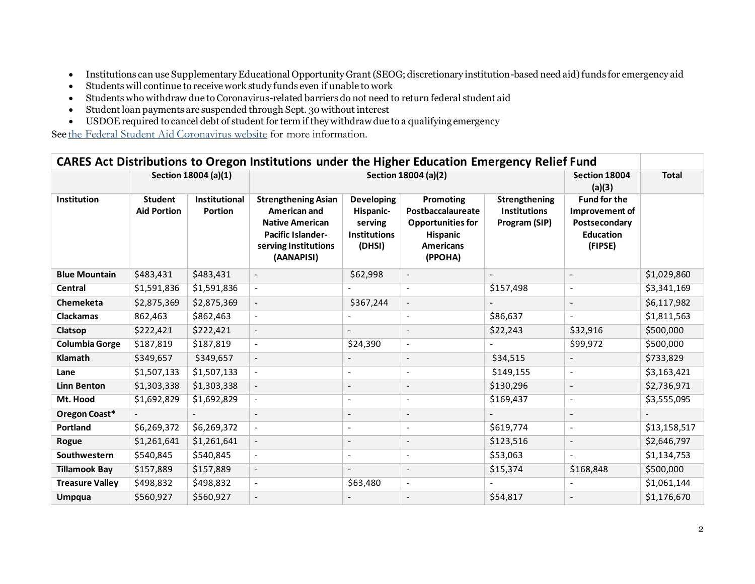- Institutions can use Supplementary Educational Opportunity Grant (SEOG; discretionary institution-based need aid) funds for emergency aid
- Students will continue to receive work study funds even if unable to work
- Students who withdraw due to Coronavirus-related barriers do not need to return federal student aid
- Student loan payments are suspended through Sept. 30 without interest
- USDOE required to cancel debt of student for term if they withdraw due to a qualifying emergency

See [the Federal Student Aid Coronavirus website](https://studentaid.gov/announcements-events/coronavirus) for more information.

| CARES Act Distributions to Oregon Institutions under the Higher Education Emergency Relief Fund |                                      |                                 |                                                                                                                                        |                                                                            |                                                                                                              |                                                       |                                                                                       |              |  |  |
|-------------------------------------------------------------------------------------------------|--------------------------------------|---------------------------------|----------------------------------------------------------------------------------------------------------------------------------------|----------------------------------------------------------------------------|--------------------------------------------------------------------------------------------------------------|-------------------------------------------------------|---------------------------------------------------------------------------------------|--------------|--|--|
|                                                                                                 |                                      | Section 18004 (a)(1)            | Section 18004 (a)(2)                                                                                                                   |                                                                            |                                                                                                              |                                                       | Section 18004<br>(a)(3)                                                               | <b>Total</b> |  |  |
| Institution                                                                                     | <b>Student</b><br><b>Aid Portion</b> | <b>Institutional</b><br>Portion | <b>Strengthening Asian</b><br>American and<br><b>Native American</b><br><b>Pacific Islander-</b><br>serving Institutions<br>(AANAPISI) | <b>Developing</b><br>Hispanic-<br>serving<br><b>Institutions</b><br>(DHSI) | Promoting<br>Postbaccalaureate<br><b>Opportunities for</b><br><b>Hispanic</b><br><b>Americans</b><br>(PPOHA) | Strengthening<br><b>Institutions</b><br>Program (SIP) | <b>Fund for the</b><br>Improvement of<br>Postsecondary<br><b>Education</b><br>(FIPSE) |              |  |  |
| <b>Blue Mountain</b>                                                                            | \$483,431                            | \$483,431                       |                                                                                                                                        | \$62,998                                                                   | $\overline{\phantom{a}}$                                                                                     |                                                       |                                                                                       | \$1,029,860  |  |  |
| <b>Central</b>                                                                                  | \$1,591,836                          | \$1,591,836                     | $\sim$                                                                                                                                 |                                                                            | $\sim$                                                                                                       | \$157,498                                             | $\sim$                                                                                | \$3,341,169  |  |  |
| Chemeketa                                                                                       | \$2,875,369                          | \$2,875,369                     |                                                                                                                                        | \$367,244                                                                  | $\overline{\phantom{a}}$                                                                                     |                                                       |                                                                                       | \$6,117,982  |  |  |
| <b>Clackamas</b>                                                                                | 862,463                              | \$862,463                       |                                                                                                                                        |                                                                            | $\blacksquare$                                                                                               | \$86,637                                              | $\sim$                                                                                | \$1,811,563  |  |  |
| Clatsop                                                                                         | \$222,421                            | \$222,421                       | $\blacksquare$                                                                                                                         | $\sim$                                                                     | $\blacksquare$                                                                                               | \$22,243                                              | \$32,916                                                                              | \$500,000    |  |  |
| <b>Columbia Gorge</b>                                                                           | \$187,819                            | \$187,819                       | $\sim$                                                                                                                                 | \$24,390                                                                   | $\blacksquare$                                                                                               |                                                       | \$99,972                                                                              | \$500,000    |  |  |
| Klamath                                                                                         | \$349,657                            | \$349,657                       | $\blacksquare$                                                                                                                         |                                                                            |                                                                                                              | \$34,515                                              |                                                                                       | \$733,829    |  |  |
| Lane                                                                                            | \$1,507,133                          | \$1,507,133                     | $\omega$                                                                                                                               | $\blacksquare$                                                             | $\blacksquare$                                                                                               | \$149,155                                             | $\blacksquare$                                                                        | \$3,163,421  |  |  |
| <b>Linn Benton</b>                                                                              | \$1,303,338                          | \$1,303,338                     |                                                                                                                                        | $\overline{\phantom{a}}$                                                   | $\blacksquare$                                                                                               | \$130,296                                             | $\overline{\phantom{a}}$                                                              | \$2,736,971  |  |  |
| Mt. Hood                                                                                        | \$1,692,829                          | \$1,692,829                     | $\sim$                                                                                                                                 | $\blacksquare$                                                             | $\blacksquare$                                                                                               | \$169,437                                             | $\blacksquare$                                                                        | \$3,555,095  |  |  |
| Oregon Coast*                                                                                   |                                      |                                 | $\sim$                                                                                                                                 | $\blacksquare$                                                             | $\blacksquare$                                                                                               |                                                       |                                                                                       |              |  |  |
| <b>Portland</b>                                                                                 | \$6,269,372                          | \$6,269,372                     | $\sim$                                                                                                                                 | $\overline{\phantom{a}}$                                                   | $\sim$                                                                                                       | \$619,774                                             | $\blacksquare$                                                                        | \$13,158,517 |  |  |
| Rogue                                                                                           | \$1,261,641                          | \$1,261,641                     |                                                                                                                                        | $\overline{\phantom{a}}$                                                   | $\overline{\phantom{a}}$                                                                                     | \$123,516                                             | $\overline{\phantom{a}}$                                                              | \$2,646,797  |  |  |
| Southwestern                                                                                    | \$540,845                            | \$540,845                       | $\blacksquare$                                                                                                                         | $\overline{\phantom{a}}$                                                   |                                                                                                              | \$53,063                                              |                                                                                       | \$1,134,753  |  |  |
| <b>Tillamook Bay</b>                                                                            | \$157,889                            | \$157,889                       | $\overline{\phantom{a}}$                                                                                                               | $\blacksquare$                                                             | $\blacksquare$                                                                                               | \$15,374                                              | \$168,848                                                                             | \$500,000    |  |  |
| <b>Treasure Valley</b>                                                                          | \$498,832                            | \$498,832                       | $\blacksquare$                                                                                                                         | \$63,480                                                                   | $\blacksquare$                                                                                               |                                                       |                                                                                       | \$1,061,144  |  |  |
| <b>Umpqua</b>                                                                                   | \$560,927                            | \$560,927                       | $\blacksquare$                                                                                                                         |                                                                            |                                                                                                              | \$54,817                                              |                                                                                       | \$1,176,670  |  |  |